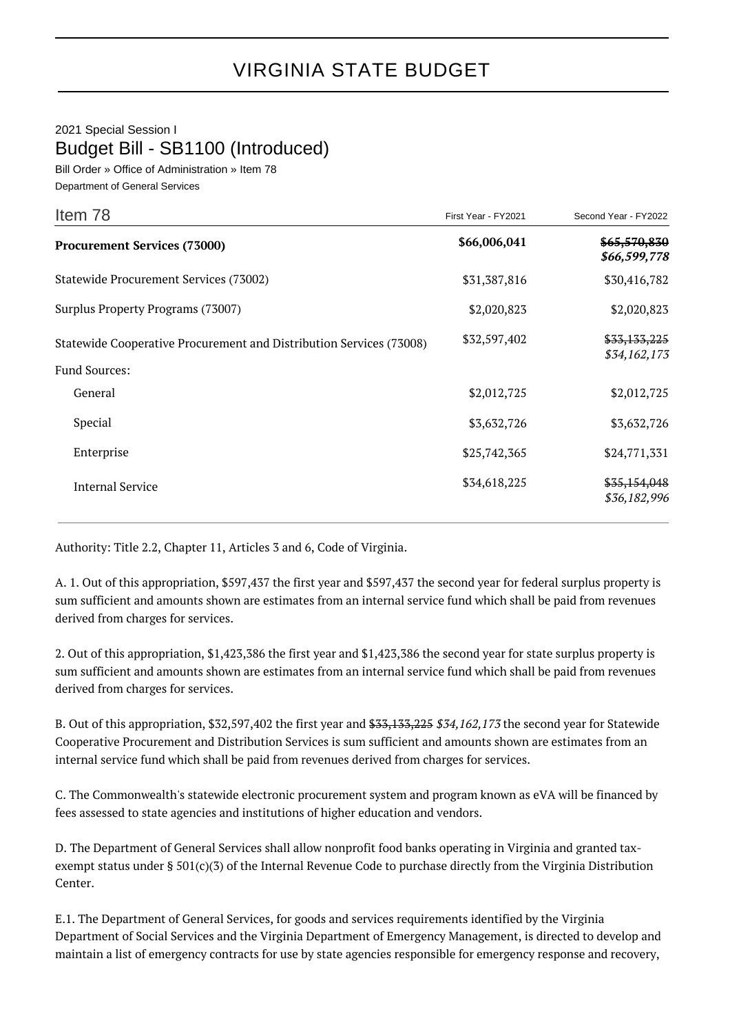## 2021 Special Session I Budget Bill - SB1100 (Introduced)

Bill Order » Office of Administration » Item 78 Department of General Services

| Item 78                                                                                     | First Year - FY2021 | Second Year - FY2022         |
|---------------------------------------------------------------------------------------------|---------------------|------------------------------|
| <b>Procurement Services (73000)</b>                                                         | \$66,006,041        | \$65,570,830<br>\$66,599,778 |
| Statewide Procurement Services (73002)                                                      | \$31,387,816        | \$30,416,782                 |
| Surplus Property Programs (73007)                                                           | \$2,020,823         | \$2,020,823                  |
| Statewide Cooperative Procurement and Distribution Services (73008)<br><b>Fund Sources:</b> | \$32,597,402        | \$33,133,225<br>\$34,162,173 |
| General                                                                                     | \$2,012,725         | \$2,012,725                  |
| Special                                                                                     | \$3,632,726         | \$3,632,726                  |
| Enterprise                                                                                  | \$25,742,365        | \$24,771,331                 |
| <b>Internal Service</b>                                                                     | \$34,618,225        | \$35,154,048<br>\$36,182,996 |

Authority: Title 2.2, Chapter 11, Articles 3 and 6, Code of Virginia.

A. 1. Out of this appropriation, \$597,437 the first year and \$597,437 the second year for federal surplus property is sum sufficient and amounts shown are estimates from an internal service fund which shall be paid from revenues derived from charges for services.

2. Out of this appropriation, \$1,423,386 the first year and \$1,423,386 the second year for state surplus property is sum sufficient and amounts shown are estimates from an internal service fund which shall be paid from revenues derived from charges for services.

B. Out of this appropriation, \$32,597,402 the first year and \$33,133,225 \$34,162,173 the second year for Statewide Cooperative Procurement and Distribution Services is sum sufficient and amounts shown are estimates from an internal service fund which shall be paid from revenues derived from charges for services.

C. The Commonwealth's statewide electronic procurement system and program known as eVA will be financed by fees assessed to state agencies and institutions of higher education and vendors.

D. The Department of General Services shall allow nonprofit food banks operating in Virginia and granted taxexempt status under § 501(c)(3) of the Internal Revenue Code to purchase directly from the Virginia Distribution Center.

E.1. The Department of General Services, for goods and services requirements identified by the Virginia Department of Social Services and the Virginia Department of Emergency Management, is directed to develop and maintain a list of emergency contracts for use by state agencies responsible for emergency response and recovery,